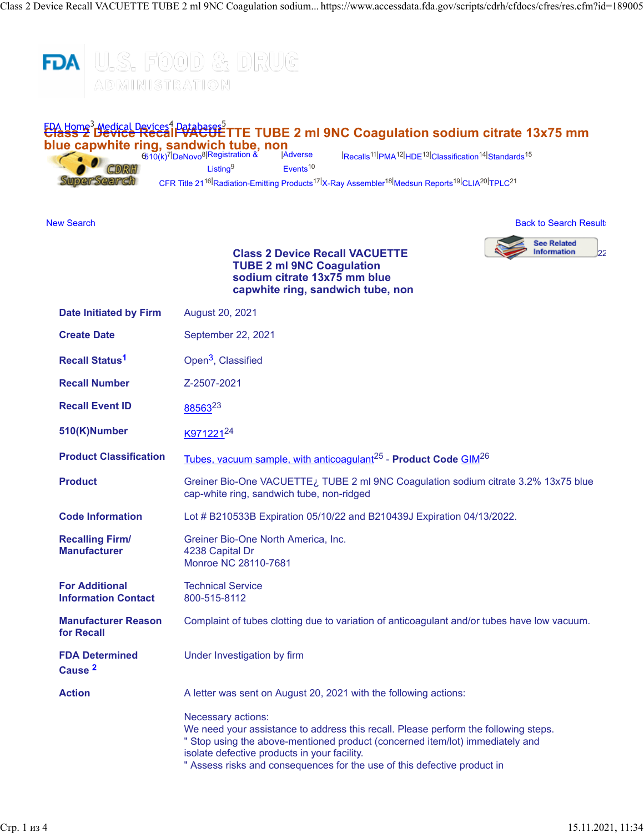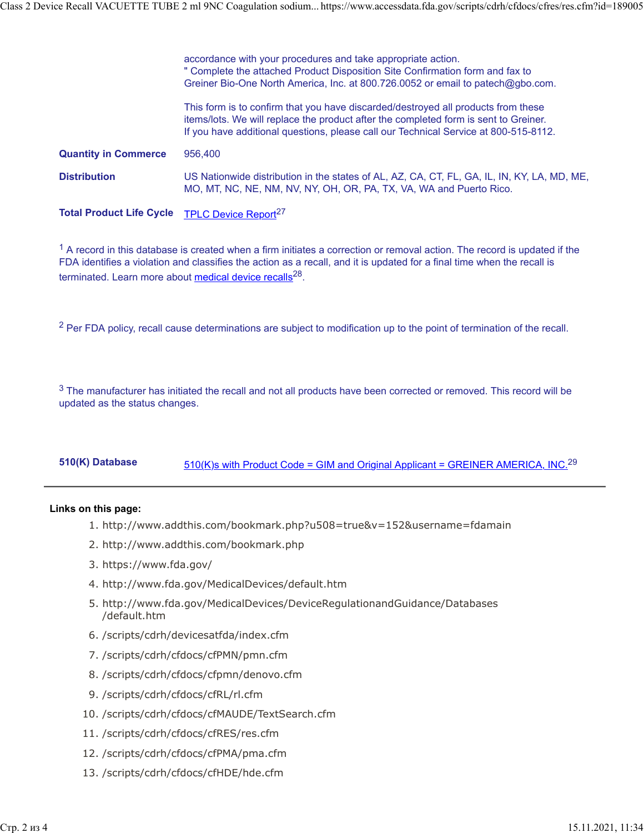|                                 | accordance with your procedures and take appropriate action.<br>" Complete the attached Product Disposition Site Confirmation form and fax to<br>Greiner Bio-One North America, Inc. at 800.726.0052 or email to patech@gbo.com.                                  |
|---------------------------------|-------------------------------------------------------------------------------------------------------------------------------------------------------------------------------------------------------------------------------------------------------------------|
|                                 | This form is to confirm that you have discarded/destroyed all products from these<br>items/lots. We will replace the product after the completed form is sent to Greiner.<br>If you have additional questions, please call our Technical Service at 800-515-8112. |
| <b>Quantity in Commerce</b>     | 956,400                                                                                                                                                                                                                                                           |
| <b>Distribution</b>             | US Nationwide distribution in the states of AL, AZ, CA, CT, FL, GA, IL, IN, KY, LA, MD, ME,<br>MO, MT, NC, NE, NM, NV, NY, OH, OR, PA, TX, VA, WA and Puerto Rico.                                                                                                |
| <b>Total Product Life Cycle</b> | TPLC Device Report <sup>27</sup>                                                                                                                                                                                                                                  |

 $1$  A record in this database is created when a firm initiates a correction or removal action. The record is updated if the FDA identifies a violation and classifies the action as a recall, and it is updated for a final time when the recall is terminated. Learn more about [medical device recalls](http://www.fda.gov/MedicalDevices/Safety/ListofRecalls/ucm329946.htm)<sup>28</sup>.

<sup>2</sup> Per FDA policy, recall cause determinations are subject to modification up to the point of termination of the recall.

 $3$  The manufacturer has initiated the recall and not all products have been corrected or removed. This record will be updated as the status changes.

## 510(K) Database [510\(K\)s with Product Code = GIM and Original Applicant = GREINER AMERICA, INC.](https://www.accessdata.fda.gov/scripts/cdrh/cfdocs/cfPMN/pmn.cfm?start_search=1&productcode=GIM&knumber=&applicant=GREINER%20AMERICA%2C%20INC%2E)<sup>29</sup>

## **Links on this page:**

- 1. http://www.addthis.com/bookmark.php?u508=true&v=152&username=fdamain
- 2. http://www.addthis.com/bookmark.php
- 3. https://www.fda.gov/
- 4. http://www.fda.gov/MedicalDevices/default.htm
- 5. http://www.fda.gov/MedicalDevices/DeviceRegulationandGuidance/Databases /default.htm
- 6. /scripts/cdrh/devicesatfda/index.cfm
- 7. /scripts/cdrh/cfdocs/cfPMN/pmn.cfm
- 8. /scripts/cdrh/cfdocs/cfpmn/denovo.cfm
- 9. /scripts/cdrh/cfdocs/cfRL/rl.cfm
- 10. /scripts/cdrh/cfdocs/cfMAUDE/TextSearch.cfm
- 11. /scripts/cdrh/cfdocs/cfRES/res.cfm
- 12. /scripts/cdrh/cfdocs/cfPMA/pma.cfm
- 13. /scripts/cdrh/cfdocs/cfHDE/hde.cfm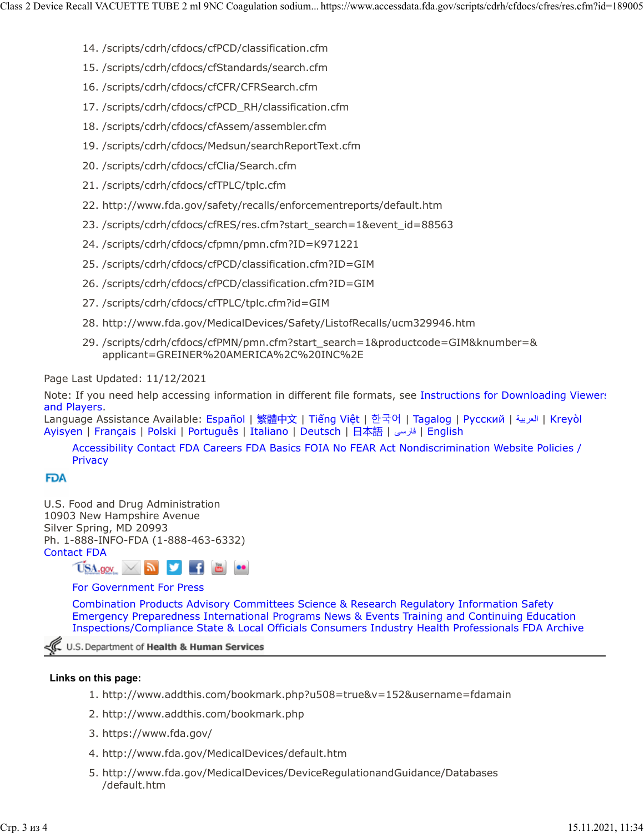- 14. /scripts/cdrh/cfdocs/cfPCD/classification.cfm
- 15. /scripts/cdrh/cfdocs/cfStandards/search.cfm
- 16. /scripts/cdrh/cfdocs/cfCFR/CFRSearch.cfm
- 17. /scripts/cdrh/cfdocs/cfPCD\_RH/classification.cfm
- 18. /scripts/cdrh/cfdocs/cfAssem/assembler.cfm
- 19. /scripts/cdrh/cfdocs/Medsun/searchReportText.cfm
- 20. /scripts/cdrh/cfdocs/cfClia/Search.cfm
- 21. /scripts/cdrh/cfdocs/cfTPLC/tplc.cfm
- 22. http://www.fda.gov/safety/recalls/enforcementreports/default.htm
- 23. /scripts/cdrh/cfdocs/cfRES/res.cfm?start\_search=1&event\_id=88563
- 24. /scripts/cdrh/cfdocs/cfpmn/pmn.cfm?ID=K971221
- 25. /scripts/cdrh/cfdocs/cfPCD/classification.cfm?ID=GIM
- 26. /scripts/cdrh/cfdocs/cfPCD/classification.cfm?ID=GIM
- 27. /scripts/cdrh/cfdocs/cfTPLC/tplc.cfm?id=GIM
- 28. http://www.fda.gov/MedicalDevices/Safety/ListofRecalls/ucm329946.htm
- 29. /scripts/cdrh/cfdocs/cfPMN/pmn.cfm?start\_search=1&productcode=GIM&knumber=& applicant=GREINER%20AMERICA%2C%20INC%2E

Page Last Updated: 11/12/2021

Note: If you need help accessing information in different file formats, see [Instructions for Downloading Viewers](https://www.fda.gov/about-fda/website-policies/viewing-files) [and Players.](https://www.fda.gov/about-fda/website-policies/viewing-files)

Language Assistance Available: [Español](https://www.fda.gov/about-fda/about-website/language-assistance-services#spanish) | [繁體中文](https://www.fda.gov/about-fda/about-website/language-assistance-services#chinese) | Tiế[ng Vi](https://www.fda.gov/about-fda/about-website/language-assistance-services#vietnamese)ệt | [한국어](https://www.fda.gov/about-fda/about-website/language-assistance-services#korean) | [Tagalog](https://www.fda.gov/about-fda/about-website/language-assistance-services#tagalog) | [Русский](https://www.fda.gov/about-fda/about-website/language-assistance-services#russian) | [ةيبرعلا](hhttps://www.fda.gov/about-fda/about-website/language-assistance-services#arabic)| [Kreyòl](https://www.fda.gov/about-fda/about-website/language-assistance-services#creole) [Ayisyen](https://www.fda.gov/about-fda/about-website/language-assistance-services#creole) | [Français](https://www.fda.gov/about-fda/about-website/language-assistance-services#french) | [Polski](https://www.fda.gov/about-fda/about-website/language-assistance-services#polish) | [Português](https://www.fda.gov/about-fda/about-website/language-assistance-services#portuguese) | [Italiano](https://www.fda.gov/about-fda/about-website/language-assistance-services#italian) | [Deutsch](https://www.fda.gov/about-fda/about-website/language-assistance-services#german) | [日本語](https://www.fda.gov/about-fda/about-website/language-assistance-services#japanese) | [یسراف](https://www.fda.gov/about-fda/about-website/language-assistance-services#farsi)| [English](https://www.fda.gov/about-fda/about-website/language-assistance-services#english)

[Accessibility](https://www.fda.gov/about-fda/about-website/accessibility) [Contact FDA](https://www.fda.gov/about-fda/contact-fda) [Careers](https://www.fda.gov/about-fda/jobs-and-training-fda) [FDA Basics](https://www.fda.gov/about-fda/transparency/fda-basics) [FOIA](https://www.fda.gov/regulatory-information/freedom-information) [No FEAR Act](https://www.fda.gov/about-fda/jobs-and-training-fda/no-fear-act) [Nondiscrimination](https://www.fda.gov/about-fda/about-website/fda-nondiscrimination-notice) [Website Policies /](https://www.fda.gov/about-fda/about-website/website-policies) **[Privacy](https://www.fda.gov/about-fda/about-website/website-policies)** 

## **FDA**

U.S. Food and Drug Administration 10903 New Hampshire Avenue Silver Spring, MD 20993 Ph. 1-888-INFO-FDA (1-888-463-6332) [Contact FDA](https://www.fda.gov/about-fda/contact-fda)



[For Government](https://www.fda.gov/federal-state-local-tribal-and-territorial-officials) [For Press](https://www.fda.gov/news-events)

[Combination Products](https://www.fda.gov/combination-products) [Advisory Committees](https://www.fda.gov/advisory-committees) [Science & Research](https://www.fda.gov/Science-Research) [Regulatory Information](https://www.fda.gov/Regulatory-Information) [Safety](https://www.fda.gov/Safety) [Emergency Preparedness](https://www.fda.gov/emergency-preparedness-and-response) [International Programs](https://www.fda.gov/international-programs) [News & Events](https://www.fda.gov/news-events) [Training and Continuing Education](https://www.fda.gov/training-and-continuing-education) [Inspections/Compliance](https://www.fda.gov/inspections-compliance-enforcement-and-criminal-investigations) [State & Local Officials](https://www.fda.gov/federal-state-local-tribal-and-territorial-officials) [Consumers](https://www.fda.gov/consumers) [Industry](https://www.fda.gov/industry) [Health Professionals](https://www.fda.gov/health-professionals) [FDA Archive](https://www.fda.gov/about-fda/about-website/fdagov-archive)

U.S. Department of Health & Human Services

## **Links on this page:**

- 1. http://www.addthis.com/bookmark.php?u508=true&v=152&username=fdamain
- 2. http://www.addthis.com/bookmark.php
- 3. https://www.fda.gov/
- 4. http://www.fda.gov/MedicalDevices/default.htm
- 5. http://www.fda.gov/MedicalDevices/DeviceRegulationandGuidance/Databases /default.htm